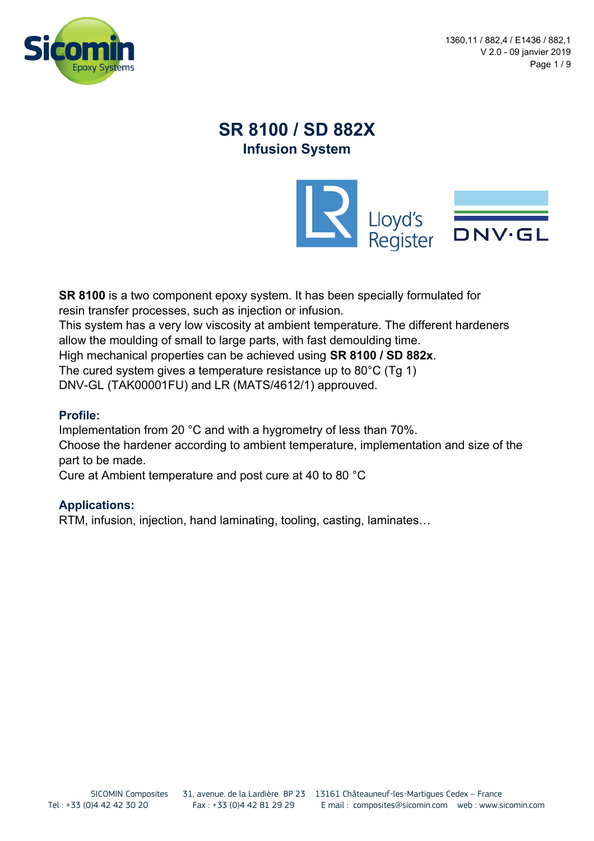

1360,11 / 882,4 / E1436 / 882,1 V 2.0 - 09 janvier 2019 Page 1 / 9

# **SR 8100 / SD 882X Infusion System**



**SR 8100** is a two component epoxy system. It has been specially formulated for resin transfer processes, such as injection or infusion. This system has a very low viscosity at ambient temperature. The different hardeners allow the moulding of small to large parts, with fast demoulding time. High mechanical properties can be achieved using **SR 8100 / SD 882x**. The cured system gives a temperature resistance up to 80°C (Tg 1) DNV-GL (TAK00001FU) and LR (MATS/4612/1) approuved.

#### **Profile:**

Implementation from 20 °C and with a hygrometry of less than 70%. Choose the hardener according to ambient temperature, implementation and size of the part to be made.

Cure at Ambient temperature and post cure at 40 to 80 °C

#### **Applications:**

RTM, infusion, injection, hand laminating, tooling, casting, laminates…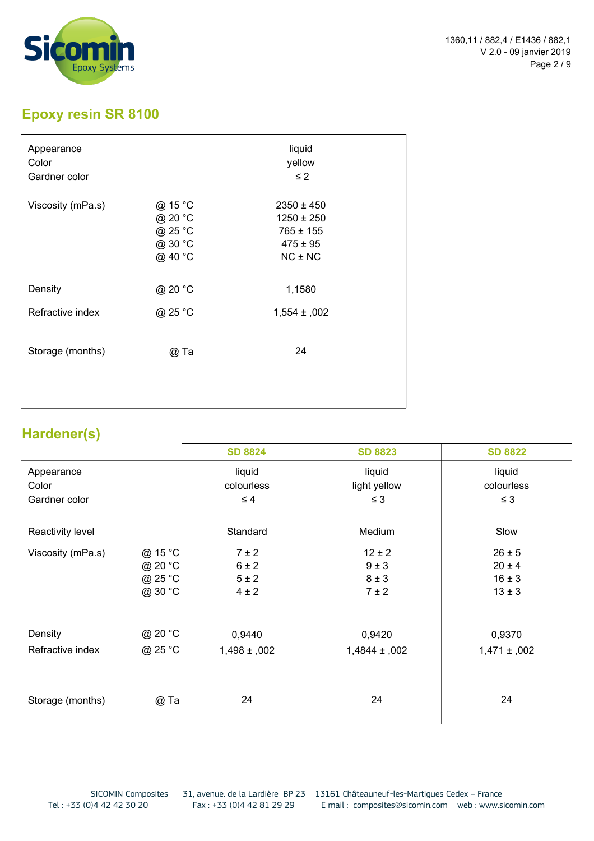

# **Epoxy resin SR 8100**

| Appearance<br>Color<br>Gardner color |                                                     | liquid<br>yellow<br>$\leq$ 2                                                     |
|--------------------------------------|-----------------------------------------------------|----------------------------------------------------------------------------------|
| Viscosity (mPa.s)                    | @ 15 °C<br>@ 20 °C<br>@ 25 °C<br>@ 30 °C<br>@ 40 °C | $2350 \pm 450$<br>$1250 \pm 250$<br>$765 \pm 155$<br>$475 \pm 95$<br>$NC \pm NC$ |
| Density                              | @ 20 °C                                             | 1,1580                                                                           |
| Refractive index                     | @ 25 °C                                             | $1,554 \pm 002$                                                                  |
| Storage (months)                     | @ Ta                                                | 24                                                                               |

# **Hardener(s)**

|                   |         | <b>SD 8824</b>  | <b>SD 8823</b>   | <b>SD 8822</b>  |
|-------------------|---------|-----------------|------------------|-----------------|
| Appearance        |         | liquid          | liquid           | liquid          |
| Color             |         | colourless      | light yellow     | colourless      |
| Gardner color     |         | $\leq 4$        | $\leq 3$         | $\leq 3$        |
| Reactivity level  |         | Standard        | Medium           | Slow            |
| Viscosity (mPa.s) | @ 15 °C | $7 \pm 2$       | $12 \pm 2$       | $26 \pm 5$      |
|                   | @ 20 °C | $6 \pm 2$       | $9 \pm 3$        | $20 \pm 4$      |
|                   | @ 25 °C | $5 \pm 2$       | $8 \pm 3$        | $16 \pm 3$      |
|                   | @ 30 °C | $4 \pm 2$       | $7 \pm 2$        | $13 \pm 3$      |
| Density           | @ 20 °C | 0,9440          | 0,9420           | 0,9370          |
| Refractive index  | @ 25 °C | $1,498 \pm 002$ | $1,4844 \pm 002$ | $1,471 \pm 002$ |
|                   |         |                 |                  |                 |
| Storage (months)  | $@$ Ta  | 24              | 24               | 24              |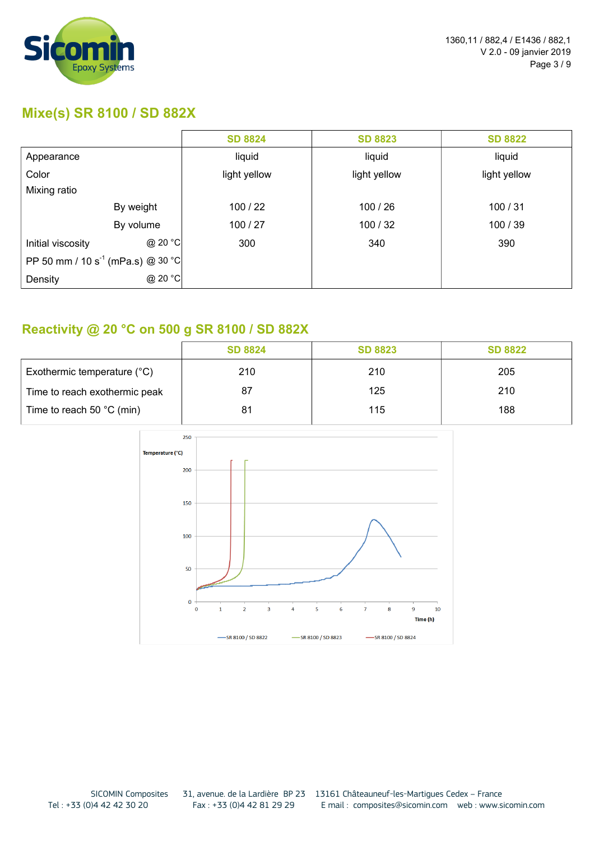

#### **Mixe(s) SR 8100 / SD 882X**

|                                               |           | <b>SD 8824</b> | <b>SD 8823</b> | <b>SD 8822</b> |
|-----------------------------------------------|-----------|----------------|----------------|----------------|
| Appearance                                    |           | liquid         | liquid         | liquid         |
| Color                                         |           | light yellow   | light yellow   | light yellow   |
| Mixing ratio                                  |           |                |                |                |
|                                               | By weight | 100/22         | 100/26         | 100/31         |
|                                               | By volume | 100/27         | 100/32         | 100/39         |
| Initial viscosity                             | @ 20 °C   | 300            | 340            | 390            |
| PP 50 mm / 10 s <sup>-1</sup> (mPa.s) @ 30 °C |           |                |                |                |
| Density                                       | @ 20 °C   |                |                |                |

### **Reactivity @ 20 °C on 500 g SR 8100 / SD 882X**

|                                     | <b>SD 8824</b> | <b>SD 8823</b> | <b>SD 8822</b> |
|-------------------------------------|----------------|----------------|----------------|
| Exothermic temperature (°C)         | 210            | 210            | 205            |
| Time to reach exothermic peak       | 87             | 125            | 210            |
| Time to reach 50 $^{\circ}$ C (min) | 81             | 115            | 188            |

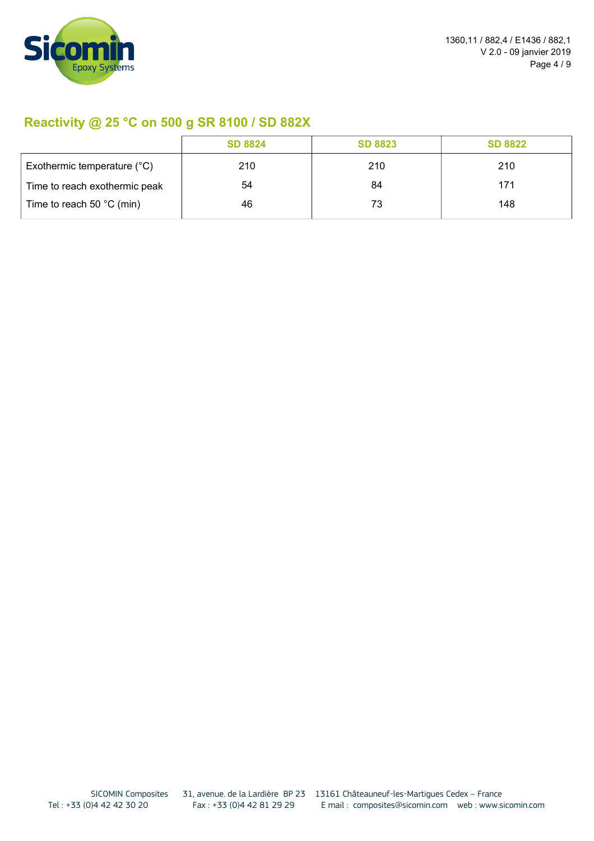

## **Reactivity @ 25 °C on 500 g SR 8100 / SD 882X**

|                                     | <b>SD 8824</b> | <b>SD 8823</b> | <b>SD 8822</b> |
|-------------------------------------|----------------|----------------|----------------|
| Exothermic temperature (°C)         | 210            | 210            | 210            |
| Time to reach exothermic peak       | 54             | 84             | 171            |
| Time to reach 50 $^{\circ}$ C (min) | 46             | 73             | 148            |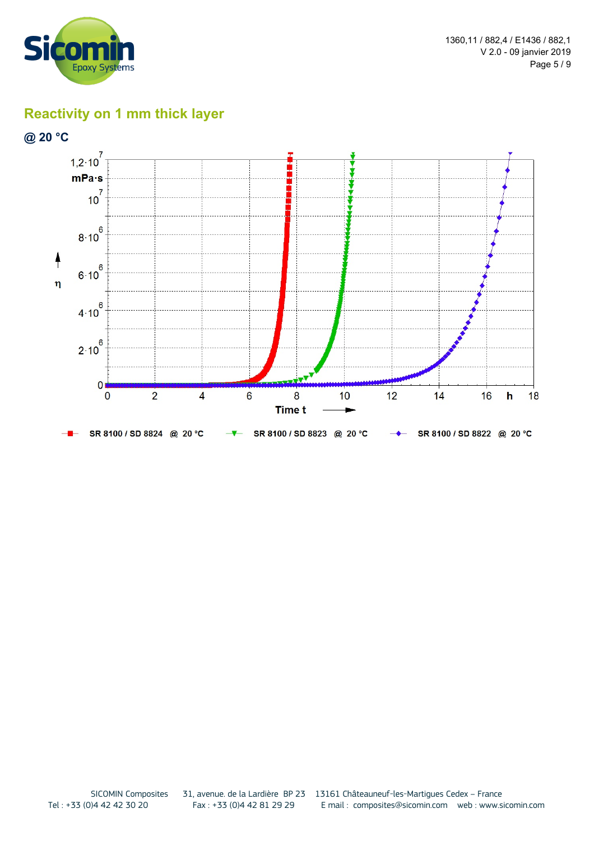



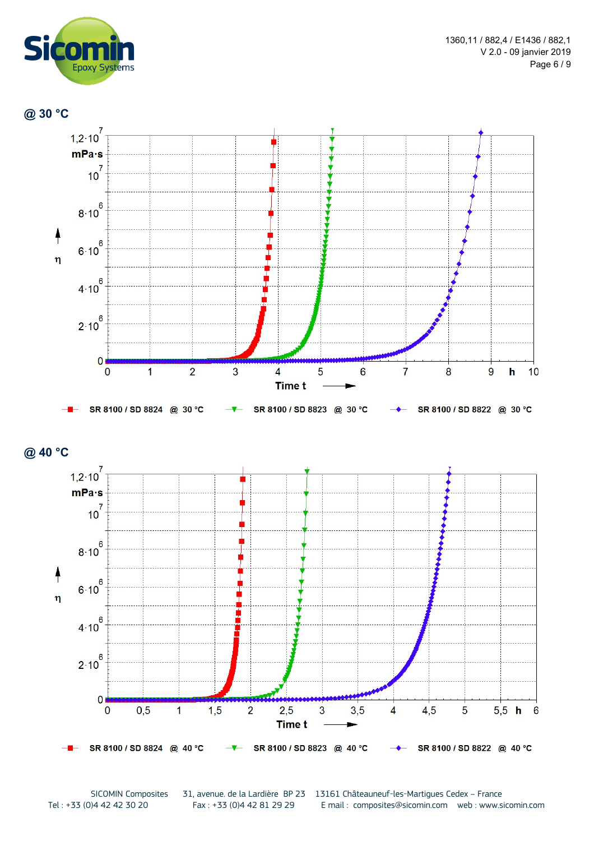







SICOMIN Composites 31, avenue. de la Lardière BP 23 13161 Châteauneuf-les-Martigues Cedex – France<br>Tel: +33 (0)4 42 81 29 29 E mail : composites@sicomin.com web : www.s E mail: composites@sicomin.com web : www.sicomin.com

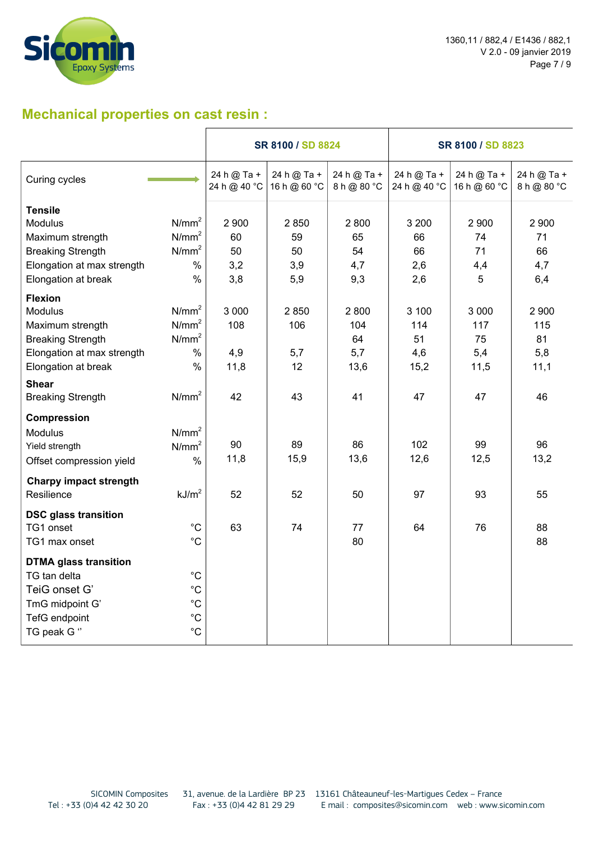

1360,11 / 882,4 / E1436 / 882,1 V 2.0 - 09 janvier 2019 Page 7 / 9

### **Mechanical properties on cast resin :**

|                               |                   | SR 8100 / SD 8824           |                             |                            | SR 8100 / SD 8823           |                             |                            |
|-------------------------------|-------------------|-----------------------------|-----------------------------|----------------------------|-----------------------------|-----------------------------|----------------------------|
| Curing cycles                 |                   | 24 h @ Ta +<br>24 h @ 40 °C | 24 h @ Ta +<br>16 h @ 60 °C | 24 h @ Ta +<br>8 h @ 80 °C | 24 h @ Ta +<br>24 h @ 40 °C | 24 h @ Ta +<br>16 h @ 60 °C | 24 h @ Ta +<br>8 h @ 80 °C |
| <b>Tensile</b>                |                   |                             |                             |                            |                             |                             |                            |
| <b>Modulus</b>                | N/mm <sup>2</sup> | 2 9 0 0                     | 2 8 5 0                     | 2800                       | 3 200                       | 2 9 0 0                     | 2 9 0 0                    |
| Maximum strength              | N/mm <sup>2</sup> | 60                          | 59                          | 65                         | 66                          | 74                          | 71                         |
| <b>Breaking Strength</b>      | N/mm <sup>2</sup> | 50                          | 50                          | 54                         | 66                          | 71                          | 66                         |
| Elongation at max strength    | $\%$              | 3,2                         | 3,9                         | 4,7                        | 2,6                         | 4,4                         | 4,7                        |
| Elongation at break           | $\frac{0}{0}$     | 3,8                         | 5,9                         | 9,3                        | 2,6                         | 5                           | 6,4                        |
| <b>Flexion</b>                |                   |                             |                             |                            |                             |                             |                            |
| Modulus                       | N/mm <sup>2</sup> | 3 0 0 0                     | 2850                        | 2800                       | 3 100                       | 3 0 0 0                     | 2 9 0 0                    |
| Maximum strength              | N/mm <sup>2</sup> | 108                         | 106                         | 104                        | 114                         | 117                         | 115                        |
| <b>Breaking Strength</b>      | N/mm <sup>2</sup> |                             |                             | 64                         | 51                          | 75                          | 81                         |
| Elongation at max strength    | $\%$              | 4,9                         | 5,7                         | 5,7                        | 4,6                         | 5,4                         | 5,8                        |
| Elongation at break           | $\%$              | 11,8                        | 12                          | 13,6                       | 15,2                        | 11,5                        | 11,1                       |
| <b>Shear</b>                  |                   |                             |                             |                            |                             |                             |                            |
| <b>Breaking Strength</b>      | N/mm <sup>2</sup> | 42                          | 43                          | 41                         | 47                          | 47                          | 46                         |
| Compression                   |                   |                             |                             |                            |                             |                             |                            |
| Modulus                       | N/mm <sup>2</sup> |                             |                             |                            |                             |                             |                            |
| Yield strength                | N/mm <sup>2</sup> | 90                          | 89                          | 86                         | 102                         | 99                          | 96                         |
| Offset compression yield      | $\%$              | 11,8                        | 15,9                        | 13,6                       | 12,6                        | 12,5                        | 13,2                       |
| <b>Charpy impact strength</b> |                   |                             |                             |                            |                             |                             |                            |
| Resilience                    | kJ/m <sup>2</sup> | 52                          | 52                          | 50                         | 97                          | 93                          | 55                         |
| <b>DSC glass transition</b>   |                   |                             |                             |                            |                             |                             |                            |
| TG1 onset                     | $^{\circ}C$       | 63                          | 74                          | 77                         | 64                          | 76                          | 88                         |
| TG1 max onset                 | $^{\circ}C$       |                             |                             | 80                         |                             |                             | 88                         |
| <b>DTMA glass transition</b>  |                   |                             |                             |                            |                             |                             |                            |
| TG tan delta                  | $^{\circ}C$       |                             |                             |                            |                             |                             |                            |
| TeiG onset G'                 | $^{\circ}C$       |                             |                             |                            |                             |                             |                            |
| TmG midpoint G'               | $^{\circ}C$       |                             |                             |                            |                             |                             |                            |
| <b>TefG</b> endpoint          | $^{\circ}C$       |                             |                             |                            |                             |                             |                            |
| TG peak G "                   | $^{\circ}C$       |                             |                             |                            |                             |                             |                            |
|                               |                   |                             |                             |                            |                             |                             |                            |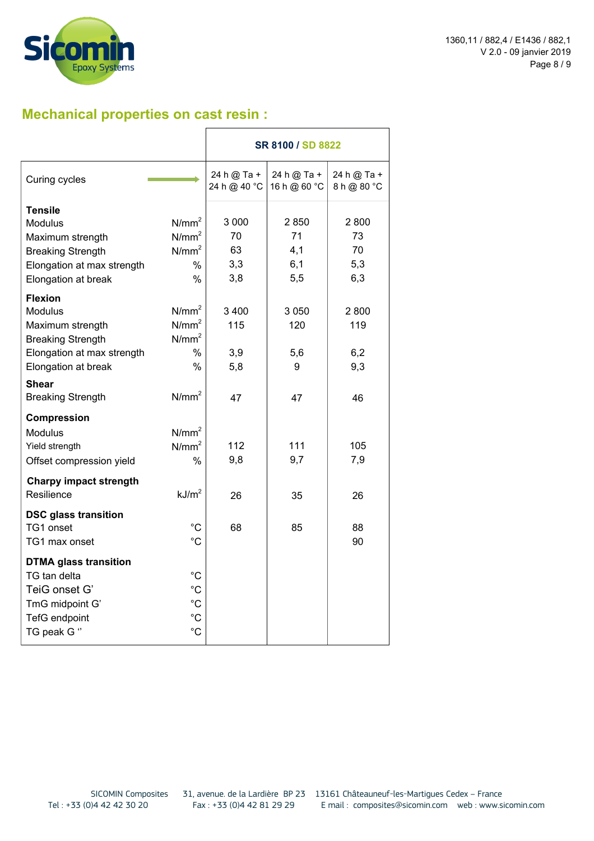

## **Mechanical properties on cast resin :**

|                               |                   |                             | SR 8100 / SD 8822           |                            |
|-------------------------------|-------------------|-----------------------------|-----------------------------|----------------------------|
| Curing cycles                 |                   | 24 h @ Ta +<br>24 h @ 40 °C | 24 h @ Ta +<br>16 h @ 60 °C | 24 h @ Ta +<br>8 h @ 80 °C |
| <b>Tensile</b>                |                   |                             |                             |                            |
| <b>Modulus</b>                | N/mm <sup>2</sup> | 3 0 0 0                     | 2850                        | 2800                       |
| Maximum strength              | $N/mm^2$          | 70                          | 71                          | 73                         |
| <b>Breaking Strength</b>      | $N/mm^2$          | 63                          | 4,1                         | 70                         |
| Elongation at max strength    | %                 | 3,3                         | 6,1                         | 5,3                        |
| Elongation at break           | $\frac{0}{0}$     | 3,8                         | 5,5                         | 6,3                        |
| <b>Flexion</b>                |                   |                             |                             |                            |
| <b>Modulus</b>                | N/mm <sup>2</sup> | 3400                        | 3 0 5 0                     | 2800                       |
| Maximum strength              | N/mm <sup>2</sup> | 115                         | 120                         | 119                        |
| <b>Breaking Strength</b>      | $N/mm^2$          |                             |                             |                            |
| Elongation at max strength    | $\%$              | 3,9                         | 5,6                         | 6,2                        |
| Elongation at break           | $\%$              | 5,8                         | 9                           | 9,3                        |
| <b>Shear</b>                  |                   |                             |                             |                            |
| <b>Breaking Strength</b>      | N/mm <sup>2</sup> | 47                          | 47                          | 46                         |
| <b>Compression</b>            |                   |                             |                             |                            |
| <b>Modulus</b>                | N/mm <sup>2</sup> |                             |                             |                            |
| Yield strength                | N/mm <sup>2</sup> | 112                         | 111                         | 105                        |
| Offset compression yield      | $\%$              | 9,8                         | 9,7                         | 7,9                        |
| <b>Charpy impact strength</b> |                   |                             |                             |                            |
| Resilience                    | kJ/m <sup>2</sup> | 26                          | 35                          | 26                         |
| <b>DSC glass transition</b>   |                   |                             |                             |                            |
| TG1 onset                     | $^{\circ}C$       | 68                          | 85                          | 88                         |
| TG1 max onset                 | $^{\circ}C$       |                             |                             | 90                         |
| <b>DTMA glass transition</b>  |                   |                             |                             |                            |
| TG tan delta                  | $^{\circ}C$       |                             |                             |                            |
| TeiG onset G'                 | $^{\circ}C$       |                             |                             |                            |
| TmG midpoint G'               | $^{\circ}C$       |                             |                             |                            |
| <b>TefG</b> endpoint          | $^{\circ}C$       |                             |                             |                            |
| TG peak G "                   | $^{\circ}C$       |                             |                             |                            |
|                               |                   |                             |                             |                            |